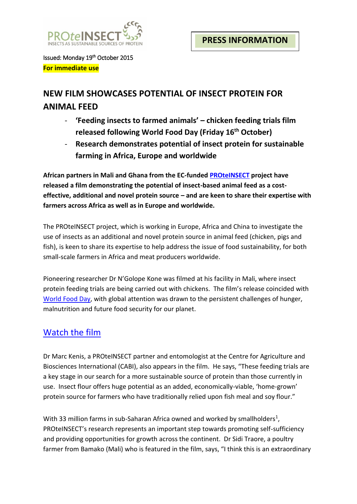

Issued: Monday 19th October 2015 **For immediate use**

# **NEW FILM SHOWCASES POTENTIAL OF INSECT PROTEIN FOR ANIMAL FEED**

- **'Feeding insects to farmed animals' – chicken feeding trials film released following World Food Day (Friday 16th October)**
- **Research demonstrates potential of insect protein for sustainable farming in Africa, Europe and worldwide**

**African partners in Mali and Ghana from the EC-funde[d PROteINSECT](http://www.proteinsect.eu/) project have released a film demonstrating the potential of insect-based animal feed as a costeffective, additional and novel protein source – and are keen to share their expertise with farmers across Africa as well as in Europe and worldwide.** 

The PROteINSECT project, which is working in Europe, Africa and China to investigate the use of insects as an additional and novel protein source in animal feed (chicken, pigs and fish), is keen to share its expertise to help address the issue of food sustainability, for both small-scale farmers in Africa and meat producers worldwide.

Pioneering researcher Dr N'Golope Kone was filmed at his facility in Mali, where insect protein feeding trials are being carried out with chickens. The film's release coincided with [World Food Day,](http://www.fao.org/world-food-day/home/en/) with global attention was drawn to the persistent challenges of hunger, malnutrition and future food security for our planet.

# [Watch the film](http://www.youris.com/Bioeconomy/Food/Feeding-Insects-To-Farmed-Animals.kl)

Dr Marc Kenis, a PROteINSECT partner and entomologist at the Centre for Agriculture and Biosciences International (CABI), also appears in the film. He says, "These feeding trials are a key stage in our search for a more sustainable source of protein than those currently in use. Insect flour offers huge potential as an added, economically-viable, 'home-grown' protein source for farmers who have traditionally relied upon fish meal and soy flour."

With 33 million farms in sub-Saharan Africa owned and worked by smallholders<sup>1</sup>, PROteINSECT's research represents an important step towards promoting self-sufficiency and providing opportunities for growth across the continent. Dr Sidi Traore, a poultry farmer from Bamako (Mali) who is featured in the film, says, "I think this is an extraordinary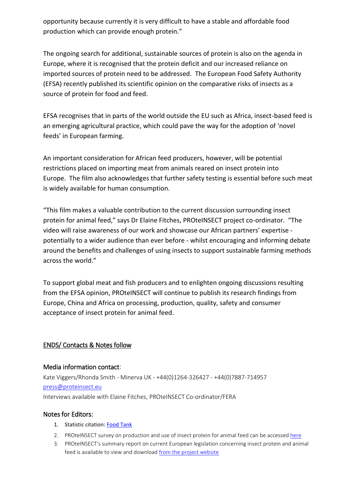opportunity because currently it is very difficult to have a stable and affordable food production which can provide enough protein."

The ongoing search for additional, sustainable sources of protein is also on the agenda in Europe, where it is recognised that the protein deficit and our increased reliance on imported sources of protein need to be addressed. The European Food Safety Authority (EFSA) recently published its scientific opinion on the comparative risks of insects as a source of protein for food and feed.

EFSA recognises that in parts of the world outside the EU such as Africa, insect-based feed is an emerging agricultural practice, which could pave the way for the adoption of 'novel feeds' in European farming.

An important consideration for African feed producers, however, will be potential restrictions placed on importing meat from animals reared on insect protein into Europe. The film also acknowledges that further safety testing is essential before such meat is widely available for human consumption.

"This film makes a valuable contribution to the current discussion surrounding insect protein for animal feed," says Dr Elaine Fitches, PROteINSECT project co-ordinator. "The video will raise awareness of our work and showcase our African partners' expertise potentially to a wider audience than ever before - whilst encouraging and informing debate around the benefits and challenges of using insects to support sustainable farming methods across the world."

To support global meat and fish producers and to enlighten ongoing discussions resulting from the EFSA opinion, PROteINSECT will continue to publish its research findings from Europe, China and Africa on processing, production, quality, safety and consumer acceptance of insect protein for animal feed.

## ENDS/ Contacts & Notes follow

### Media information contact:

Kate Viggers/Rhonda Smith - Minerva UK - +44(0)1264-326427 - +44(0)7887-714957 [press@proteinsect.eu](mailto:press@proteinsect.eu) Interviews available with Elaine Fitches, PROteINSECT Co-ordinator/FERA

### Notes for Editors:

- 1. Statistic citation: [Food Tank](http://foodtank.com/news/2014/03/release-food-tank-by-the-numbers-family-farming-report)
- 2. PROteINSECT survey on production and use of insect protein for animal feed can be accessed [here](http://www.proteinsect.eu/index.php?id=2)
- 3. PROteINSECT's summary report on current European legislation concerning insect protein and animal feed is available to view and download [from the project website](http://www.proteinsect.eu/index.php?id=3)